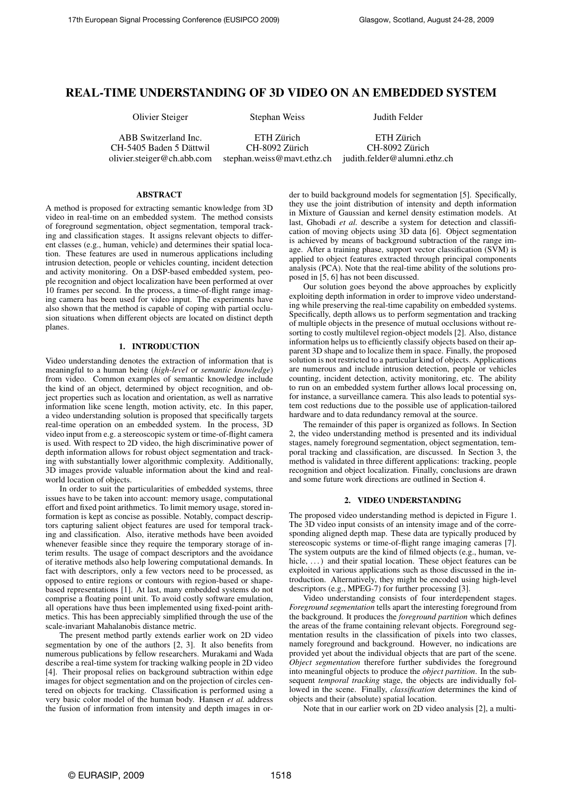# REAL-TIME UNDERSTANDING OF 3D VIDEO ON AN EMBEDDED SYSTEM

Olivier Steiger Stephan Weiss Judith Felder

ABB Switzerland Inc. ETH Zürich ETH Zürich CH-5405 Baden 5 Dättwil CH-8092 Zürich CH-8092 Zürich olivier.steiger@ch.abb.com stephan.weiss@mavt.ethz.ch judith.felder@alumni.ethz.ch

## **ABSTRACT**

A method is proposed for extracting semantic knowledge from 3D video in real-time on an embedded system. The method consists of foreground segmentation, object segmentation, temporal tracking and classification stages. It assigns relevant objects to different classes (e.g., human, vehicle) and determines their spatial location. These features are used in numerous applications including intrusion detection, people or vehicles counting, incident detection and activity monitoring. On a DSP-based embedded system, people recognition and object localization have been performed at over 10 frames per second. In the process, a time-of-flight range imaging camera has been used for video input. The experiments have also shown that the method is capable of coping with partial occlusion situations when different objects are located on distinct depth planes.

#### 1. INTRODUCTION

Video understanding denotes the extraction of information that is meaningful to a human being (*high-level* or *semantic knowledge*) from video. Common examples of semantic knowledge include the kind of an object, determined by object recognition, and object properties such as location and orientation, as well as narrative information like scene length, motion activity, etc. In this paper, a video understanding solution is proposed that specifically targets real-time operation on an embedded system. In the process, 3D video input from e.g. a stereoscopic system or time-of-flight camera is used. With respect to 2D video, the high discriminative power of depth information allows for robust object segmentation and tracking with substantially lower algorithmic complexity. Additionally, 3D images provide valuable information about the kind and realworld location of objects.

In order to suit the particularities of embedded systems, three issues have to be taken into account: memory usage, computational effort and fixed point arithmetics. To limit memory usage, stored information is kept as concise as possible. Notably, compact descriptors capturing salient object features are used for temporal tracking and classification. Also, iterative methods have been avoided whenever feasible since they require the temporary storage of interim results. The usage of compact descriptors and the avoidance of iterative methods also help lowering computational demands. In fact with descriptors, only a few vectors need to be processed, as opposed to entire regions or contours with region-based or shapebased representations [1]. At last, many embedded systems do not comprise a floating point unit. To avoid costly software emulation, all operations have thus been implemented using fixed-point arithmetics. This has been appreciably simplified through the use of the scale-invariant Mahalanobis distance metric.

The present method partly extends earlier work on 2D video segmentation by one of the authors [2, 3]. It also benefits from numerous publications by fellow researchers. Murakami and Wada describe a real-time system for tracking walking people in 2D video [4]. Their proposal relies on background subtraction within edge images for object segmentation and on the projection of circles centered on objects for tracking. Classification is performed using a very basic color model of the human body. Hansen *et al.* address the fusion of information from intensity and depth images in order to build background models for segmentation [5]. Specifically, they use the joint distribution of intensity and depth information in Mixture of Gaussian and kernel density estimation models. At last, Ghobadi *et al.* describe a system for detection and classification of moving objects using 3D data [6]. Object segmentation is achieved by means of background subtraction of the range image. After a training phase, support vector classification (SVM) is applied to object features extracted through principal components analysis (PCA). Note that the real-time ability of the solutions proposed in [5, 6] has not been discussed.

Our solution goes beyond the above approaches by explicitly exploiting depth information in order to improve video understanding while preserving the real-time capability on embedded systems. Specifically, depth allows us to perform segmentation and tracking of multiple objects in the presence of mutual occlusions without resorting to costly multilevel region-object models [2]. Also, distance information helps us to efficiently classify objects based on their apparent 3D shape and to localize them in space. Finally, the proposed solution is not restricted to a particular kind of objects. Applications are numerous and include intrusion detection, people or vehicles counting, incident detection, activity monitoring, etc. The ability to run on an embedded system further allows local processing on, for instance, a surveillance camera. This also leads to potential system cost reductions due to the possible use of application-tailored hardware and to data redundancy removal at the source.

The remainder of this paper is organized as follows. In Section 2, the video understanding method is presented and its individual stages, namely foreground segmentation, object segmentation, temporal tracking and classification, are discussed. In Section 3, the method is validated in three different applications: tracking, people recognition and object localization. Finally, conclusions are drawn and some future work directions are outlined in Section 4.

# 2. VIDEO UNDERSTANDING

The proposed video understanding method is depicted in Figure 1. The 3D video input consists of an intensity image and of the corresponding aligned depth map. These data are typically produced by stereoscopic systems or time-of-flight range imaging cameras [7]. The system outputs are the kind of filmed objects (e.g., human, vehicle, ...) and their spatial location. These object features can be exploited in various applications such as those discussed in the introduction. Alternatively, they might be encoded using high-level descriptors (e.g., MPEG-7) for further processing [3].

Video understanding consists of four interdependent stages. *Foreground segmentation* tells apart the interesting foreground from the background. It produces the *foreground partition* which defines the areas of the frame containing relevant objects. Foreground segmentation results in the classification of pixels into two classes, namely foreground and background. However, no indications are provided yet about the individual objects that are part of the scene. *Object segmentation* therefore further subdivides the foreground into meaningful objects to produce the *object partition*. In the subsequent *temporal tracking* stage, the objects are individually followed in the scene. Finally, *classification* determines the kind of objects and their (absolute) spatial location.

Note that in our earlier work on 2D video analysis [2], a multi-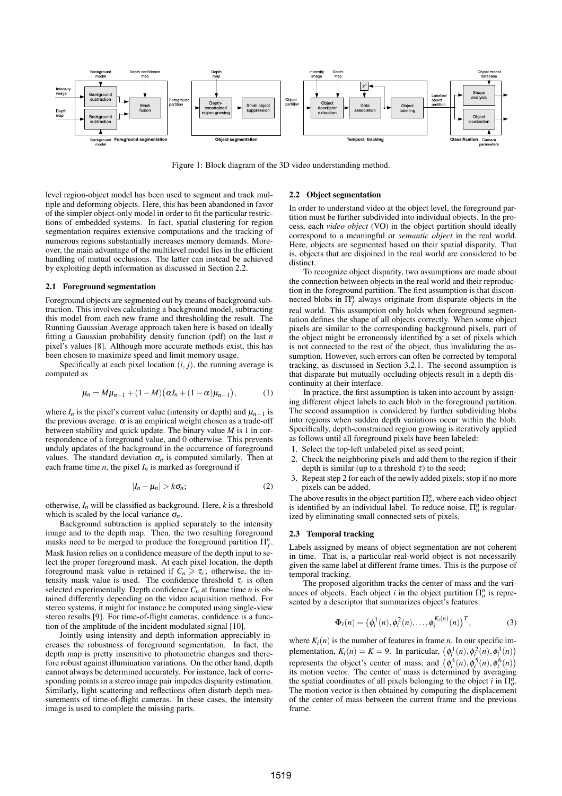

Figure 1: Block diagram of the 3D video understanding method.

level region-object model has been used to segment and track multiple and deforming objects. Here, this has been abandoned in favor of the simpler object-only model in order to fit the particular restrictions of embedded systems. In fact, spatial clustering for region segmentation requires extensive computations and the tracking of numerous regions substantially increases memory demands. Moreover, the main advantage of the multilevel model lies in the efficient handling of mutual occlusions. The latter can instead be achieved by exploiting depth information as discussed in Section 2.2.

## 2.1 Foreground segmentation

Foreground objects are segmented out by means of background subtraction. This involves calculating a background model, subtracting this model from each new frame and thresholding the result. The Running Gaussian Average approach taken here is based on ideally fitting a Gaussian probability density function (pdf) on the last *n* pixel's values [8]. Although more accurate methods exist, this has been chosen to maximize speed and limit memory usage.

Specifically at each pixel location  $(i, j)$ , the running average is computed as

$$
\mu_n = M\mu_{n-1} + (1 - M)(\alpha I_n + (1 - \alpha)\mu_{n-1}),
$$
 (1)

where  $I_n$  is the pixel's current value (intensity or depth) and  $\mu_{n-1}$  is the previous average.  $\alpha$  is an empirical weight chosen as a trade-off between stability and quick update. The binary value *M* is 1 in correspondence of a foreground value, and 0 otherwise. This prevents unduly updates of the background in the occurrence of foreground values. The standard deviation  $\sigma_n$  is computed similarly. Then at each frame time *n*, the pixel  $I_n$  is marked as foreground if

$$
|I_n - \mu_n| > k\sigma_n;\tag{2}
$$

otherwise,  $I_n$  will be classified as background. Here,  $k$  is a threshold which is scaled by the local variance  $\sigma_n$ .

Background subtraction is applied separately to the intensity image and to the depth map. Then, the two resulting foreground masks need to be merged to produce the foreground partition  $\Pi_f^n$ . Mask fusion relies on a confidence measure of the depth input to select the proper foreground mask. At each pixel location, the depth foreground mask value is retained if  $C_n \geq \tau_c$ ; otherwise, the intensity mask value is used. The confidence threshold  $\tau_c$  is often selected experimentally. Depth confidence  $C_n$  at frame time *n* is obtained differently depending on the video acquisition method. For stereo systems, it might for instance be computed using single-view stereo results [9]. For time-of-flight cameras, confidence is a function of the amplitude of the incident modulated signal [10].

Jointly using intensity and depth information appreciably increases the robustness of foreground segmentation. In fact, the depth map is pretty insensitive to photometric changes and therefore robust against illumination variations. On the other hand, depth cannot always be determined accurately. For instance, lack of corresponding points in a stereo image pair impedes disparity estimation. Similarly, light scattering and reflections often disturb depth measurements of time-of-flight cameras. In these cases, the intensity image is used to complete the missing parts.

# 2.2 Object segmentation

In order to understand video at the object level, the foreground partition must be further subdivided into individual objects. In the process, each *video object* (VO) in the object partition should ideally correspond to a meaningful or *semantic object* in the real world. Here, objects are segmented based on their spatial disparity. That is, objects that are disjoined in the real world are considered to be distinct.

To recognize object disparity, two assumptions are made about the connection between objects in the real world and their reproduction in the foreground partition. The first assumption is that disconnected blobs in  $\Pi_f^n$  always originate from disparate objects in the real world. This assumption only holds when foreground segmentation defines the shape of all objects correctly. When some object pixels are similar to the corresponding background pixels, part of the object might be erroneously identified by a set of pixels which is not connected to the rest of the object, thus invalidating the assumption. However, such errors can often be corrected by temporal tracking, as discussed in Section 3.2.1. The second assumption is that disparate but mutually occluding objects result in a depth discontinuity at their interface.

In practice, the first assumption is taken into account by assigning different object labels to each blob in the foreground partition. The second assumption is considered by further subdividing blobs into regions when sudden depth variations occur within the blob. Specifically, depth-constrained region growing is iteratively applied as follows until all foreground pixels have been labeled:

- 1. Select the top-left unlabeled pixel as seed point;
- 2. Check the neighboring pixels and add them to the region if their depth is similar (up to a threshold  $\tau$ ) to the seed;
- 3. Repeat step 2 for each of the newly added pixels; stop if no more pixels can be added.

The above results in the object partition  $\Pi_o^n$ , where each video object is identified by an individual label. To reduce noise,  $\Pi_{o}^{n}$  is regularized by eliminating small connected sets of pixels.

# 2.3 Temporal tracking

Labels assigned by means of object segmentation are not coherent in time. That is, a particular real-world object is not necessarily given the same label at different frame times. This is the purpose of temporal tracking.

The proposed algorithm tracks the center of mass and the variances of objects. Each object *i* in the object partition  $\Pi_{o}^{n}$  is represented by a descriptor that summarizes object's features:

$$
\Phi_i(n) = (\phi_i^1(n), \phi_i^2(n), \dots, \phi_i^{K_i(n)}(n))^{T},
$$
\n(3)

where  $K_i(n)$  is the number of features in frame *n*. In our specific imwhere  $\kappa_i(n)$  is the number of reatures in frame *n*. In our specific im-<br>plementation,  $K_i(n) = K = 9$ . In particular,  $(\phi_i^1(n), \phi_i^2(n), \phi_i^3(n))$ **i**<sub>**r**(*n*),  $\varphi_i$  (*n*),  $\varphi_i$  (*n*),  $\varphi_i$  (*n*),  $\varphi_i$  (*n*),  $\varphi_i$  (*n*) (*n*) (*p*) (*n*) (*e*) (*n*) (*n*) (*n*) (*n*) (*n*) (*n*) (*n*) (*n*) (*n*) (*n*) (*n*) (*n*) (*n*) (*n*) (*n*) (*n*) (*n*) (*n*) (*n*)</sub> its motion vector. The center of mass is determined by averaging the spatial coordinates of all pixels belonging to the object *i* in  $\Pi_0^n$ . The motion vector is then obtained by computing the displacement of the center of mass between the current frame and the previous frame.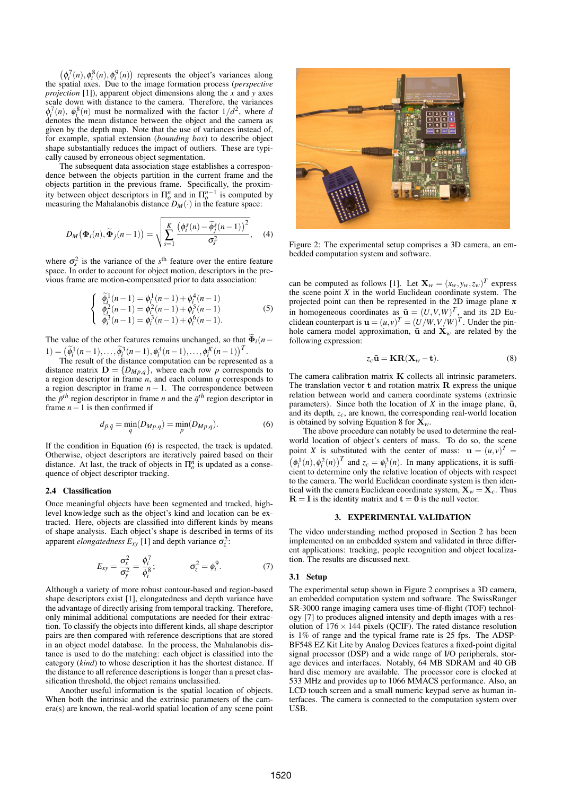$(\phi_i^7(n), \phi_i^8(n), \phi_i^9(n))$  represents the object's variances along the spatial axes. Due to the image formation process (*perspective projection* [1]), apparent object dimensions along the  $\vec{x}$  and  $\vec{y}$  axes scale down with distance to the camera. Therefore, the variances  $\phi_i^7(n)$ ,  $\phi_i^8(n)$  must be normalized with the factor  $1/d^2$ , where *d* denotes the mean distance between the object and the camera as given by the depth map. Note that the use of variances instead of, for example, spatial extension (*bounding box*) to describe object shape substantially reduces the impact of outliers. These are typically caused by erroneous object segmentation.

The subsequent data association stage establishes a correspondence between the objects partition in the current frame and the objects partition in the previous frame. Specifically, the proximity between object descriptors in  $\Pi_{o}^{n}$  and in  $\Pi_{o}^{n-1}$  is computed by measuring the Mahalanobis distance  $D_M(\cdot)$  in the feature space:

$$
D_M(\boldsymbol{\Phi}_i(n), \widetilde{\boldsymbol{\Phi}}_j(n-1)) = \sqrt{\sum_{s=1}^K \frac{\left(\phi_i^s(n) - \widetilde{\phi}_j^s(n-1)\right)^2}{\sigma_s^2}}, \quad (4)
$$

where  $\sigma_s^2$  is the variance of the *s*<sup>th</sup> feature over the entire feature space. In order to account for object motion, descriptors in the previous frame are motion-compensated prior to data association:

$$
\begin{cases}\n\widetilde{\phi}_i^1(n-1) = \phi_i^1(n-1) + \phi_i^4(n-1) \\
\widetilde{\phi}_i^2(n-1) = \phi_i^2(n-1) + \phi_i^5(n-1) \\
\widetilde{\phi}_i^3(n-1) = \phi_i^3(n-1) + \phi_i^6(n-1).\n\end{cases} (5)
$$

The value of the other features remains unchanged, so that  $\widetilde{\Phi}_i(n-$ 1) =  $(\tilde{\phi}_i^1(n-1), ..., \tilde{\phi}_i^3(n-1), \phi_i^4(n-1), ..., \phi_i^K(n-1))^T$ .

The result of the distance computation can be represented as a distance matrix  $D = \{D_{Mp,q}\}$ , where each row *p* corresponds to a region descriptor in frame *n*, and each column *q* corresponds to a region descriptor in frame  $n - 1$ . The correspondence between the  $\bar{p}^{th}$  region descriptor in frame *n* and the  $\bar{q}^{th}$  region descriptor in frame *n*−1 is then confirmed if

$$
d_{\bar{p},\bar{q}} = \min_{q} (D_{Mp,q}) = \min_{p} (D_{Mp,q}).
$$
 (6)

If the condition in Equation (6) is respected, the track is updated. Otherwise, object descriptors are iteratively paired based on their distance. At last, the track of objects in  $\Pi_{\rho}^{\hat{n}}$  is updated as a consequence of object descriptor tracking.

# 2.4 Classification

Once meaningful objects have been segmented and tracked, highlevel knowledge such as the object's kind and location can be extracted. Here, objects are classified into different kinds by means of shape analysis. Each object's shape is described in terms of its apparent *elongatedness*  $E_{xy}$  [1] and depth variance  $\sigma_z^2$ :

$$
E_{xy} = \frac{\sigma_x^2}{\sigma_y^2} = \frac{\phi_i^7}{\phi_i^8}; \qquad \sigma_z^2 = \phi_i^9. \qquad (7)
$$

Although a variety of more robust contour-based and region-based shape descriptors exist [1], elongatedness and depth variance have the advantage of directly arising from temporal tracking. Therefore, only minimal additional computations are needed for their extraction. To classify the objects into different kinds, all shape descriptor pairs are then compared with reference descriptions that are stored in an object model database. In the process, the Mahalanobis distance is used to do the matching: each object is classified into the category (*kind*) to whose description it has the shortest distance. If the distance to all reference descriptions is longer than a preset classification threshold, the object remains unclassified.

Another useful information is the spatial location of objects. When both the intrinsic and the extrinsic parameters of the camera(s) are known, the real-world spatial location of any scene point



Figure 2: The experimental setup comprises a 3D camera, an embedded computation system and software.

can be computed as follows [1]. Let  $\mathbf{X}_w = (x_w, y_w, z_w)^T$  express the scene point *X* in the world Euclidean coordinate system. The projected point can then be represented in the 2D image plane  $\pi$ in homogeneous coordinates as  $\tilde{\mathbf{u}} = (U, V, W)^T$ , and its 2D Euclidean counterpart is  $\mathbf{u} = (u, v)^T = (U/W, V/W)^T$ . Under the pinhole camera model approximation,  $\tilde{u}$  and  $\tilde{X}_w$  are related by the following expression:

$$
z_c \tilde{\mathbf{u}} = \mathbf{KR}(\mathbf{X}_w - \mathbf{t}).\tag{8}
$$

The camera calibration matrix  $K$  collects all intrinsic parameters. The translation vector  $t$  and rotation matrix  $R$  express the unique relation between world and camera coordinate systems (extrinsic parameters). Since both the location of  $X$  in the image plane,  $\tilde{u}$ , and its depth, *zc*, are known, the corresponding real-world location is obtained by solving Equation 8 for  $\bar{\mathbf{X}}_w$ .

The above procedure can notably be used to determine the realworld location of object's centers of mass. To do so, the scene point *X* is substituted with the center of mass:  $\mathbf{u} = (u, v)^T =$  $(\phi_i^1(n), \phi_i^2(n))^T$  and  $z_c = \phi_i^3(n)$ . In many applications, it is sufficient to determine only the relative location of objects with respect to the camera. The world Euclidean coordinate system is then identical with the camera Euclidean coordinate system,  $X_w = X_c$ . Thus  $R = I$  is the identity matrix and  $t = 0$  is the null vector.

## 3. EXPERIMENTAL VALIDATION

The video understanding method proposed in Section 2 has been implemented on an embedded system and validated in three different applications: tracking, people recognition and object localization. The results are discussed next.

#### 3.1 Setup

The experimental setup shown in Figure 2 comprises a 3D camera, an embedded computation system and software. The SwissRanger SR-3000 range imaging camera uses time-of-flight (TOF) technology [7] to produces aligned intensity and depth images with a resolution of  $176 \times 144$  pixels (QCIF). The rated distance resolution is 1% of range and the typical frame rate is 25 fps. The ADSP-BF548 EZ Kit Lite by Analog Devices features a fixed-point digital signal processor (DSP) and a wide range of I/O peripherals, storage devices and interfaces. Notably, 64 MB SDRAM and 40 GB hard disc memory are available. The processor core is clocked at 533 MHz and provides up to 1066 MMACS performance. Also, an LCD touch screen and a small numeric keypad serve as human interfaces. The camera is connected to the computation system over USB.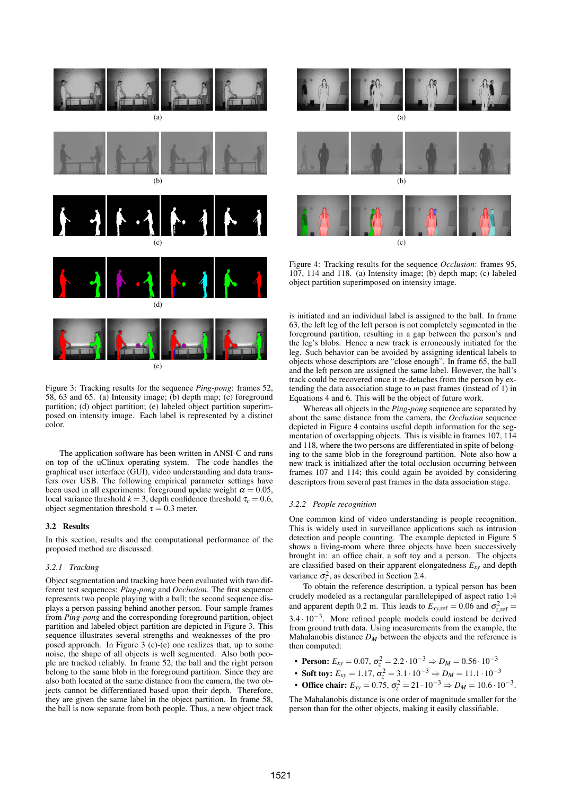

Figure 3: Tracking results for the sequence *Ping-pong*: frames 52, 58, 63 and 65. (a) Intensity image; (b) depth map; (c) foreground partition; (d) object partition; (e) labeled object partition superimposed on intensity image. Each label is represented by a distinct color.

The application software has been written in ANSI-C and runs on top of the uClinux operating system. The code handles the graphical user interface (GUI), video understanding and data transfers over USB. The following empirical parameter settings have been used in all experiments: foreground update weight  $\alpha = 0.05$ , local variance threshold  $k = 3$ , depth confidence threshold  $\tau_c = 0.6$ , object segmentation threshold  $\tau = 0.3$  meter.

#### 3.2 Results

In this section, results and the computational performance of the proposed method are discussed.

# *3.2.1 Tracking*

Object segmentation and tracking have been evaluated with two different test sequences: *Ping-pong* and *Occlusion*. The first sequence represents two people playing with a ball; the second sequence displays a person passing behind another person. Four sample frames from *Ping-pong* and the corresponding foreground partition, object partition and labeled object partition are depicted in Figure 3. This sequence illustrates several strengths and weaknesses of the proposed approach. In Figure 3 (c)-(e) one realizes that, up to some noise, the shape of all objects is well segmented. Also both people are tracked reliably. In frame 52, the ball and the right person belong to the same blob in the foreground partition. Since they are also both located at the same distance from the camera, the two objects cannot be differentiated based upon their depth. Therefore, they are given the same label in the object partition. In frame 58, the ball is now separate from both people. Thus, a new object track



Figure 4: Tracking results for the sequence *Occlusion*: frames 95, 107, 114 and 118. (a) Intensity image; (b) depth map; (c) labeled object partition superimposed on intensity image.

is initiated and an individual label is assigned to the ball. In frame 63, the left leg of the left person is not completely segmented in the foreground partition, resulting in a gap between the person's and the leg's blobs. Hence a new track is erroneously initiated for the leg. Such behavior can be avoided by assigning identical labels to objects whose descriptors are "close enough". In frame 65, the ball and the left person are assigned the same label. However, the ball's track could be recovered once it re-detaches from the person by extending the data association stage to *m* past frames (instead of 1) in Equations 4 and 6. This will be the object of future work.

Whereas all objects in the *Ping-pong* sequence are separated by about the same distance from the camera, the *Occlusion* sequence depicted in Figure 4 contains useful depth information for the segmentation of overlapping objects. This is visible in frames 107, 114 and 118, where the two persons are differentiated in spite of belonging to the same blob in the foreground partition. Note also how a new track is initialized after the total occlusion occurring between frames 107 and 114; this could again be avoided by considering descriptors from several past frames in the data association stage.

# *3.2.2 People recognition*

One common kind of video understanding is people recognition. This is widely used in surveillance applications such as intrusion detection and people counting. The example depicted in Figure 5 shows a living-room where three objects have been successively brought in: an office chair, a soft toy and a person. The objects are classified based on their apparent elongatedness *Exy* and depth variance  $\sigma_z^2$ , as described in Section 2.4.

To obtain the reference description, a typical person has been crudely modeled as a rectangular parallelepiped of aspect ratio 1:4 and apparent depth 0.2 m. This leads to  $E_{xy,ref} = 0.06$  and  $\sigma_{z,ref}^2 =$  $3.4 \cdot 10^{-3}$ . More refined people models could instead be derived from ground truth data. Using measurements from the example, the Mahalanobis distance  $D_M$  between the objects and the reference is then computed:

- **Person:**  $E_{xy} = 0.07$ ,  $\sigma_z^2 = 2.2 \cdot 10^{-3} \Rightarrow D_M = 0.56 \cdot 10^{-3}$
- Soft toy:  $E_{xy} = 1.17$ ,  $\sigma_z^2 = 3.1 \cdot 10^{-3} \Rightarrow D_M = 11.1 \cdot 10^{-3}$
- Office chair:  $E_{xy} = 0.75$ ,  $\sigma_z^2 = 21 \cdot 10^{-3} \Rightarrow D_M = 10.6 \cdot 10^{-3}$ .

The Mahalanobis distance is one order of magnitude smaller for the person than for the other objects, making it easily classifiable.